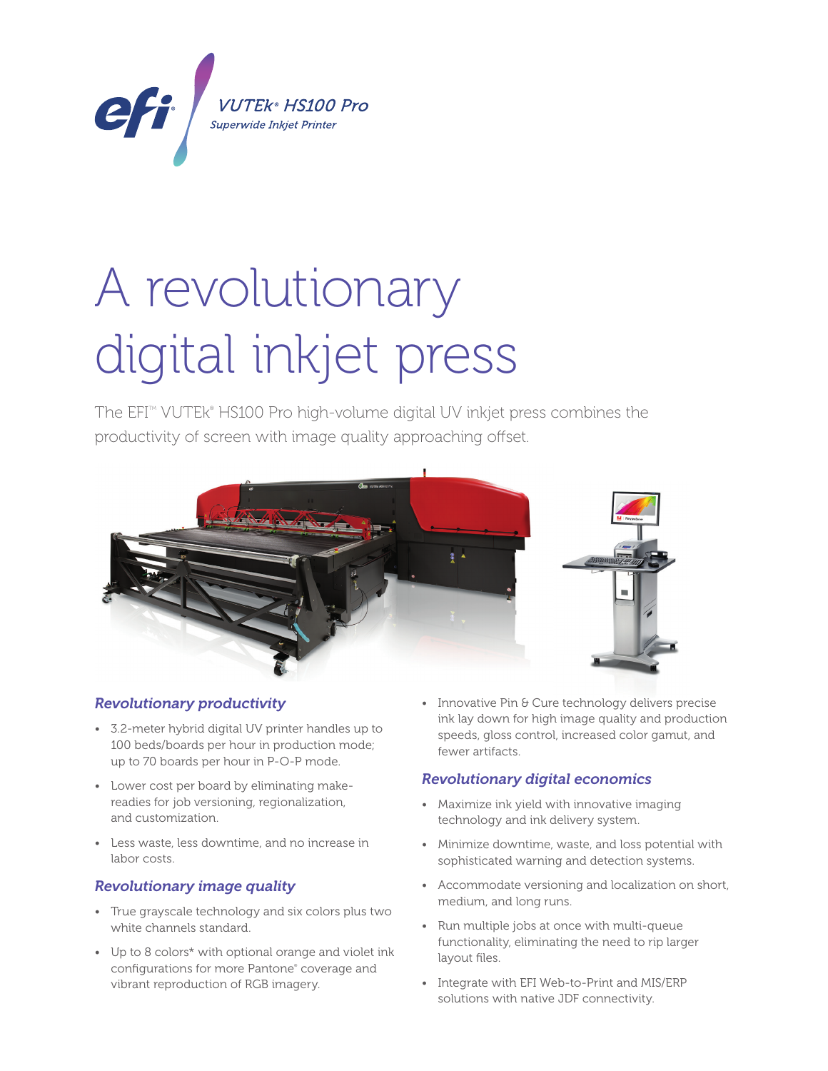

# A revolutionary digital inkjet press

The EFI™ VUTEk® HS100 Pro high-volume digital UV inkjet press combines the productivity of screen with image quality approaching offset.



# *Revolutionary productivity*

- 3.2-meter hybrid digital UV printer handles up to 100 beds/boards per hour in production mode; up to 70 boards per hour in P-O-P mode.
- Lower cost per board by eliminating makereadies for job versioning, regionalization, and customization.
- Less waste, less downtime, and no increase in labor costs.

## *Revolutionary image quality*

- True grayscale technology and six colors plus two white channels standard.
- Up to 8 colors\* with optional orange and violet ink configurations for more Pantone® coverage and vibrant reproduction of RGB imagery.

• Innovative Pin & Cure technology delivers precise ink lay down for high image quality and production speeds, gloss control, increased color gamut, and fewer artifacts.

## *Revolutionary digital economics*

- Maximize ink yield with innovative imaging technology and ink delivery system.
- Minimize downtime, waste, and loss potential with sophisticated warning and detection systems.
- Accommodate versioning and localization on short, medium, and long runs.
- Run multiple jobs at once with multi-queue functionality, eliminating the need to rip larger layout files.
- Integrate with EFI Web-to-Print and MIS/ERP solutions with native JDF connectivity.